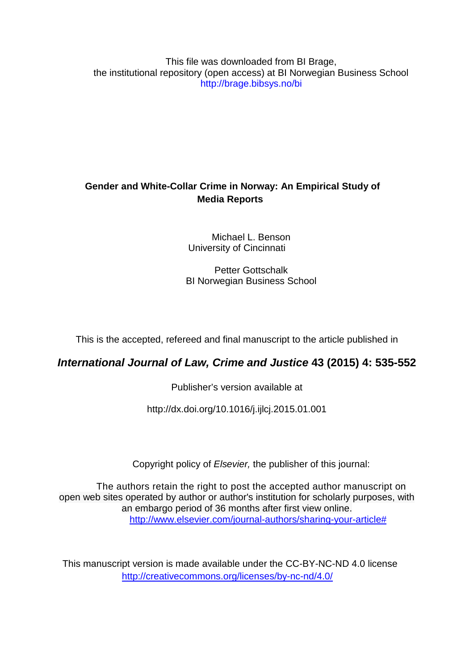This file was downloaded from BI Brage, the institutional repository (open access) at BI Norwegian Business School http://brage.bibsys.no/bi

## **Gender and White-Collar Crime in Norway: An Empirical Study of Media Reports**

Michael L. Benson University of Cincinnati

Petter Gottschalk BI Norwegian Business School

This is the accepted, refereed and final manuscript to the article published in

## *International Journal of Law, Crime and Justice* **43 (2015) 4: 535-552**

Publisher's version available at

http://dx.doi.org[/10.1016/j.ijlcj.2015.01.001](http://dx.doi.org/10.1016/j.ijlcj.2015.01.001)

Copyright policy of *Elsevier,* the publisher of this journal:

The authors retain the right to post the accepted author manuscript on open web sites operated by author or author's institution for scholarly purposes, with an embargo period of 36 months after first view online. [http://www.elsevier.com/journal-authors/sharing-your-article#](http://www.elsevier.com/journal-authors/sharing-your-article)

This manuscript version is made available under the CC-BY-NC-ND 4.0 license <http://creativecommons.org/licenses/by-nc-nd/4.0/>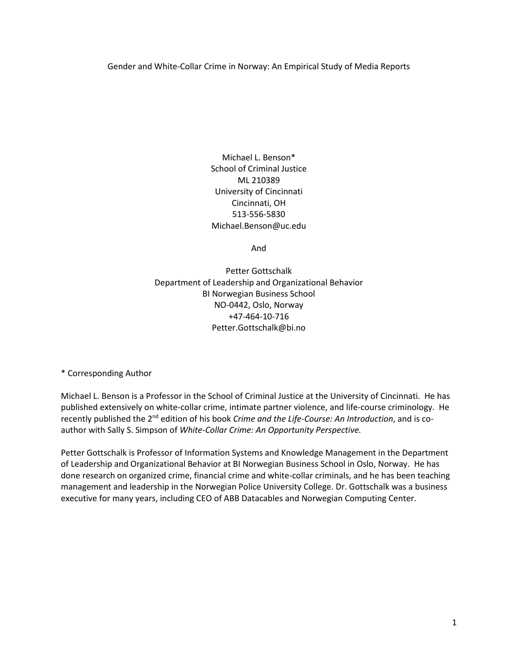Gender and White-Collar Crime in Norway: An Empirical Study of Media Reports

Michael L. Benson\* School of Criminal Justice ML 210389 University of Cincinnati Cincinnati, OH 513-556-5830 Michael.Benson@uc.edu

And

Petter Gottschalk Department of Leadership and Organizational Behavior BI Norwegian Business School NO-0442, Oslo, Norway +47-464-10-716 Petter.Gottschalk@bi.no

\* Corresponding Author

Michael L. Benson is a Professor in the School of Criminal Justice at the University of Cincinnati. He has published extensively on white-collar crime, intimate partner violence, and life-course criminology. He recently published the 2nd edition of his book *Crime and the Life-Course: An Introduction*, and is coauthor with Sally S. Simpson of *White-Collar Crime: An Opportunity Perspective.*

Petter Gottschalk is Professor of Information Systems and Knowledge Management in the Department of Leadership and Organizational Behavior at BI Norwegian Business School in Oslo, Norway. He has done research on organized crime, financial crime and white-collar criminals, and he has been teaching management and leadership in the Norwegian Police University College. Dr. Gottschalk was a business executive for many years, including CEO of ABB Datacables and Norwegian Computing Center.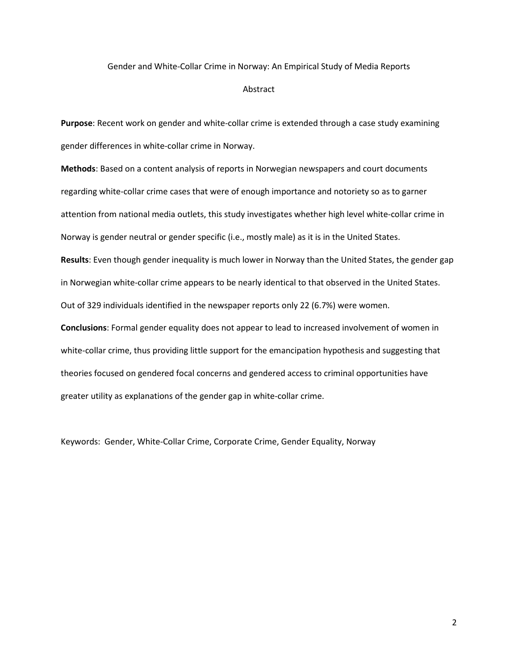## Gender and White-Collar Crime in Norway: An Empirical Study of Media Reports Abstract

**Purpose**: Recent work on gender and white-collar crime is extended through a case study examining gender differences in white-collar crime in Norway.

**Methods**: Based on a content analysis of reports in Norwegian newspapers and court documents regarding white-collar crime cases that were of enough importance and notoriety so as to garner attention from national media outlets, this study investigates whether high level white-collar crime in Norway is gender neutral or gender specific (i.e., mostly male) as it is in the United States.

**Results**: Even though gender inequality is much lower in Norway than the United States, the gender gap in Norwegian white-collar crime appears to be nearly identical to that observed in the United States.

Out of 329 individuals identified in the newspaper reports only 22 (6.7%) were women.

**Conclusions**: Formal gender equality does not appear to lead to increased involvement of women in white-collar crime, thus providing little support for the emancipation hypothesis and suggesting that theories focused on gendered focal concerns and gendered access to criminal opportunities have greater utility as explanations of the gender gap in white-collar crime.

Keywords: Gender, White-Collar Crime, Corporate Crime, Gender Equality, Norway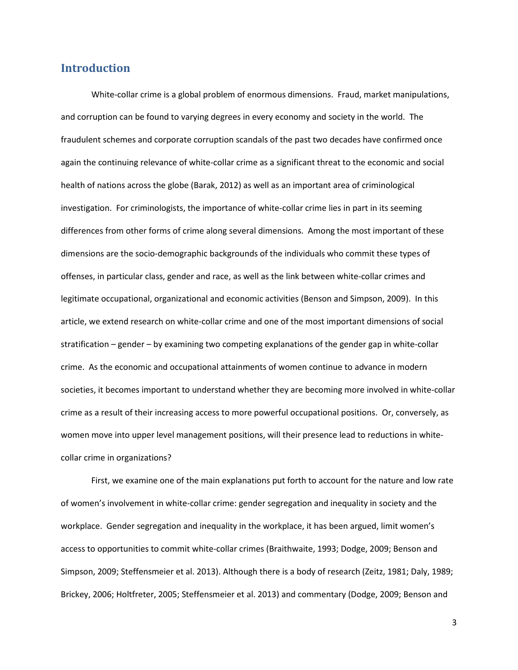#### **Introduction**

White-collar crime is a global problem of enormous dimensions. Fraud, market manipulations, and corruption can be found to varying degrees in every economy and society in the world. The fraudulent schemes and corporate corruption scandals of the past two decades have confirmed once again the continuing relevance of white-collar crime as a significant threat to the economic and social health of nations across the globe (Barak, 2012) as well as an important area of criminological investigation. For criminologists, the importance of white-collar crime lies in part in its seeming differences from other forms of crime along several dimensions. Among the most important of these dimensions are the socio-demographic backgrounds of the individuals who commit these types of offenses, in particular class, gender and race, as well as the link between white-collar crimes and legitimate occupational, organizational and economic activities (Benson and Simpson, 2009). In this article, we extend research on white-collar crime and one of the most important dimensions of social stratification – gender – by examining two competing explanations of the gender gap in white-collar crime. As the economic and occupational attainments of women continue to advance in modern societies, it becomes important to understand whether they are becoming more involved in white-collar crime as a result of their increasing access to more powerful occupational positions. Or, conversely, as women move into upper level management positions, will their presence lead to reductions in whitecollar crime in organizations?

<span id="page-3-0"></span>First, we examine one of the main explanations put forth to account for the nature and low rate of women's involvement in white-collar crime: gender segregation and inequality in society and the workplace. Gender segregation and inequality in the workplace, it has been argued, limit women's access to opportunities to commit white-collar crimes (Braithwaite, 1993; Dodge, 2009; Benson and Simpson, 2009; Steffensmeier et al. 2013). Although there is a body of research (Zeitz, 1981; Daly, 1989; Brickey, 2006; Holtfreter, 2005; Steffensmeier et al. 2013) and commentary (Dodge, 2009; Benson and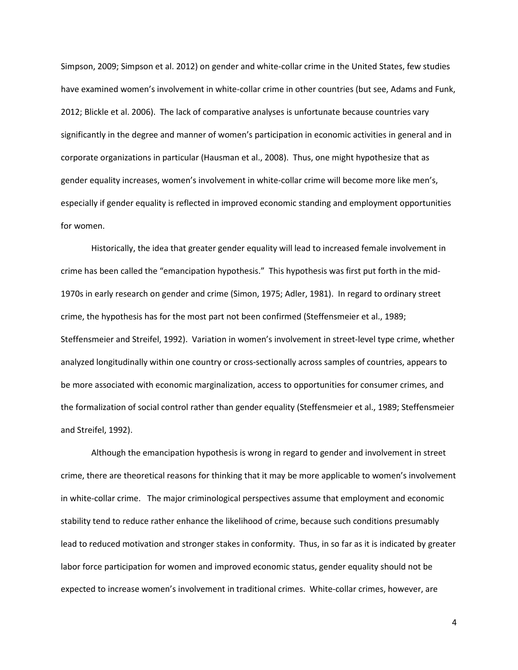Simpson, 2009; Simpson et al. 2012) on gender and white-collar crime in the United States, few studies have examined women's involvement in white-collar crime in other countries (but see, Adams and Funk, 2012; Blickle et al. 2006). The lack of comparative analyses is unfortunate because countries vary significantly in the degree and manner of women's participation in economic activities in general and in corporate organizations in particular (Hausman et al., 2008). Thus, one might hypothesize that as gender equality increases, women's involvement in white-collar crime will become more like men's, especially if gender equality is reflected in improved economic standing and employment opportunities for women.

Historically, the idea that greater gender equality will lead to increased female involvement in crime has been called the "emancipation hypothesis." This hypothesis was first put forth in the mid-1970s in early research on gender and crime (Simon, 1975; Adler, 1981). In regard to ordinary street crime, the hypothesis has for the most part not been confirmed (Steffensmeier et al., 1989; Steffensmeier and Streifel, 1992). Variation in women's involvement in street-level type crime, whether analyzed longitudinally within one country or cross-sectionally across samples of countries, appears to be more associated with economic marginalization, access to opportunities for consumer crimes, and the formalization of social control rather than gender equality (Steffensmeier et al., 1989; Steffensmeier and Streifel, 1992).

Although the emancipation hypothesis is wrong in regard to gender and involvement in street crime, there are theoretical reasons for thinking that it may be more applicable to women's involvement in white-collar crime. The major criminological perspectives assume that employment and economic stability tend to reduce rather enhance the likelihood of crime, because such conditions presumably lead to reduced motivation and stronger stakes in conformity. Thus, in so far as it is indicated by greater labor force participation for women and improved economic status, gender equality should not be expected to increase women's involvement in traditional crimes. White-collar crimes, however, are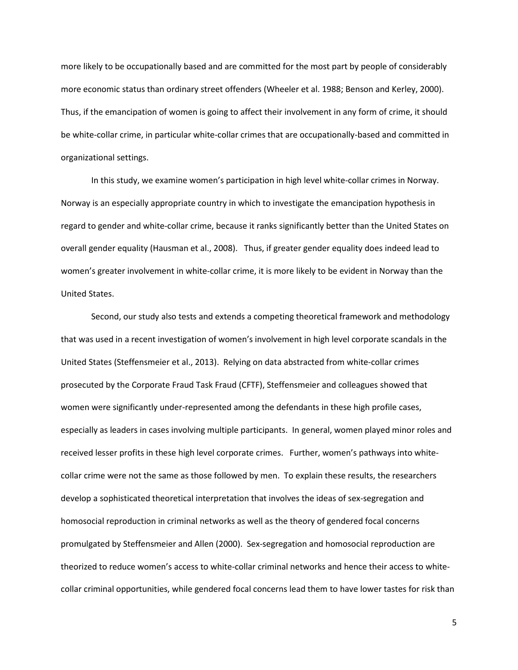more likely to be occupationally based and are committed for the most part by people of considerably more economic status than ordinary street offenders (Wheeler et al. 1988; Benson and Kerley, 2000). Thus, if the emancipation of women is going to affect their involvement in any form of crime, it should be white-collar crime, in particular white-collar crimes that are occupationally-based and committed in organizational settings.

In this study, we examine women's participation in high level white-collar crimes in Norway. Norway is an especially appropriate country in which to investigate the emancipation hypothesis in regard to gender and white-collar crime, because it ranks significantly better than the United States on overall gender equality (Hausman et al., 2008). Thus, if greater gender equality does indeed lead to women's greater involvement in white-collar crime, it is more likely to be evident in Norway than the United States.

Second, our study also tests and extends a competing theoretical framework and methodology that was used in a recent investigation of women's involvement in high level corporate scandals in the United States (Steffensmeier et al., 2013). Relying on data abstracted from white-collar crimes prosecuted by the Corporate Fraud Task Fraud (CFTF), Steffensmeier and colleagues showed that women were significantly under-represented among the defendants in these high profile cases, especially as leaders in cases involving multiple participants. In general, women played minor roles and received lesser profits in these high level corporate crimes. Further, women's pathways into whitecollar crime were not the same as those followed by men. To explain these results, the researchers develop a sophisticated theoretical interpretation that involves the ideas of sex-segregation and homosocial reproduction in criminal networks as well as the theory of gendered focal concerns promulgated by Steffensmeier and Allen (2000). Sex-segregation and homosocial reproduction are theorized to reduce women's access to white-collar criminal networks and hence their access to whitecollar criminal opportunities, while gendered focal concerns lead them to have lower tastes for risk than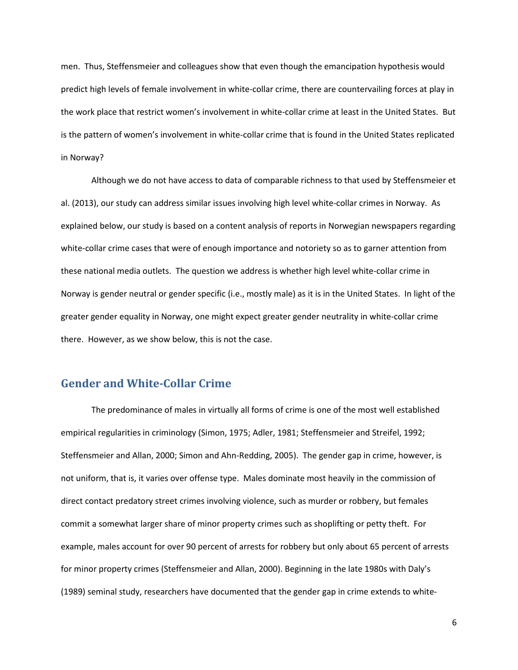men. Thus, Steffensmeier and colleagues show that even though the emancipation hypothesis would predict high levels of female involvement in white-collar crime, there are countervailing forces at play in the work place that restrict women's involvement in white-collar crime at least in the United States. But is the pattern of women's involvement in white-collar crime that is found in the United States replicated in Norway?

Although we do not have access to data of comparable richness to that used by Steffensmeier et al. (2013), our study can address similar issues involving high level white-collar crimes in Norway. As explained below, our study is based on a content analysis of reports in Norwegian newspapers regarding white-collar crime cases that were of enough importance and notoriety so as to garner attention from these national media outlets. The question we address is whether high level white-collar crime in Norway is gender neutral or gender specific (i.e., mostly male) as it is in the United States. In light of the greater gender equality in Norway, one might expect greater gender neutrality in white-collar crime there. However, as we show below, this is not the case.

#### **Gender and White-Collar Crime**

The predominance of males in virtually all forms of crime is one of the most well established empirical regularities in criminology (Simon, 1975; Adler, 1981; Steffensmeier and Streifel, 1992; Steffensmeier and Allan, 2000; Simon and Ahn-Redding, 2005). The gender gap in crime, however, is not uniform, that is, it varies over offense type. Males dominate most heavily in the commission of direct contact predatory street crimes involving violence, such as murder or robbery, but females commit a somewhat larger share of minor property crimes such as shoplifting or petty theft. For example, males account for over 90 percent of arrests for robbery but only about 65 percent of arrests for minor property crimes (Steffensmeier and Allan, 2000). Beginning in the late 1980s with Daly's (1989) seminal study, researchers have documented that the gender gap in crime extends to white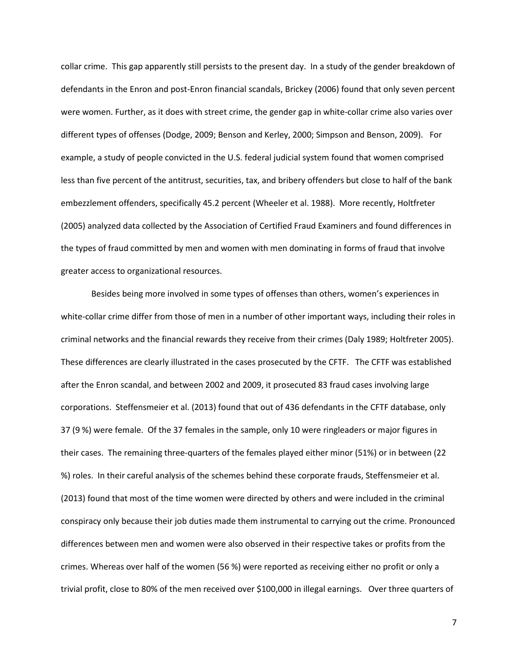collar crime. This gap apparently still persists to the present day. In a study of the gender breakdown of defendants in the Enron and post-Enron financial scandals, Brickey (2006) found that only seven percent were women. Further, as it does with street crime, the gender gap in white-collar crime also varies over different types of offenses (Dodge, 2009; Benson and Kerley, 2000; Simpson and Benson, 2009). For example, a study of people convicted in the U.S. federal judicial system found that women comprised less than five percent of the antitrust, securities, tax, and bribery offenders but close to half of the bank embezzlement offenders, specifically 45.2 percent (Wheeler et al. 1988). More recently, Holtfreter (2005) analyzed data collected by the Association of Certified Fraud Examiners and found differences in the types of fraud committed by men and women with men dominating in forms of fraud that involve greater access to organizational resources.

Besides being more involved in some types of offenses than others, women's experiences in white-collar crime differ from those of men in a number of other important ways, including their roles in criminal networks and the financial rewards they receive from their crimes (Daly 1989; Holtfreter 2005). These differences are clearly illustrated in the cases prosecuted by the CFTF. The CFTF was established after the Enron scandal, and between 2002 and 2009, it prosecuted 83 fraud cases involving large corporations. Steffensmeier et al. (2013) found that out of 436 defendants in the CFTF database, only 37 (9 %) were female. Of the 37 females in the sample, only 10 were ringleaders or major figures in their cases. The remaining three-quarters of the females played either minor (51%) or in between (22 %) roles. In their careful analysis of the schemes behind these corporate frauds, Steffensmeier et al. (2013) found that most of the time women were directed by others and were included in the criminal conspiracy only because their job duties made them instrumental to carrying out the crime. Pronounced differences between men and women were also observed in their respective takes or profits from the crimes. Whereas over half of the women (56 %) were reported as receiving either no profit or only a trivial profit, close to 80% of the men received over \$100,000 in illegal earnings. Over three quarters of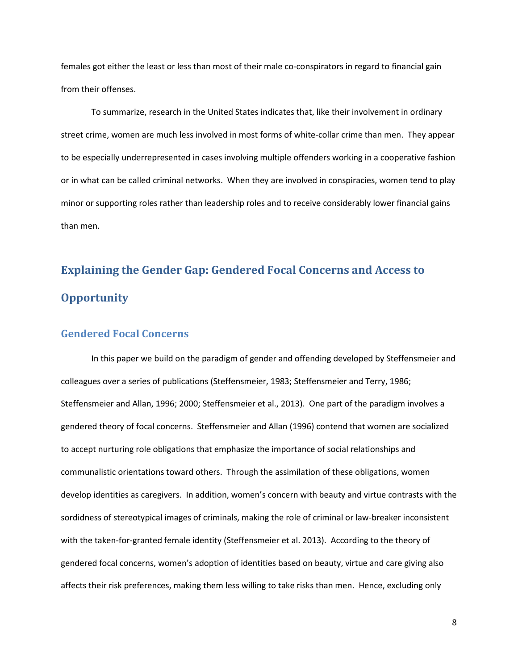females got either the least or less than most of their male co-conspirators in regard to financial gain from their offenses.

To summarize, research in the United States indicates that, like their involvement in ordinary street crime, women are much less involved in most forms of white-collar crime than men. They appear to be especially underrepresented in cases involving multiple offenders working in a cooperative fashion or in what can be called criminal networks. When they are involved in conspiracies, women tend to play minor or supporting roles rather than leadership roles and to receive considerably lower financial gains than men.

# **Explaining the Gender Gap: Gendered Focal Concerns and Access to Opportunity**

#### **Gendered Focal Concerns**

In this paper we build on the paradigm of gender and offending developed by Steffensmeier and colleagues over a series of publications (Steffensmeier, 1983; Steffensmeier and Terry, 1986; Steffensmeier and Allan, 1996; 2000; Steffensmeier et al., 2013). One part of the paradigm involves a gendered theory of focal concerns. Steffensmeier and Allan (1996) contend that women are socialized to accept nurturing role obligations that emphasize the importance of social relationships and communalistic orientations toward others. Through the assimilation of these obligations, women develop identities as caregivers. In addition, women's concern with beauty and virtue contrasts with the sordidness of stereotypical images of criminals, making the role of criminal or law-breaker inconsistent with the taken-for-granted female identity (Steffensmeier et al. 2013). According to the theory of gendered focal concerns, women's adoption of identities based on beauty, virtue and care giving also affects their risk preferences, making them less willing to take risks than men. Hence, excluding only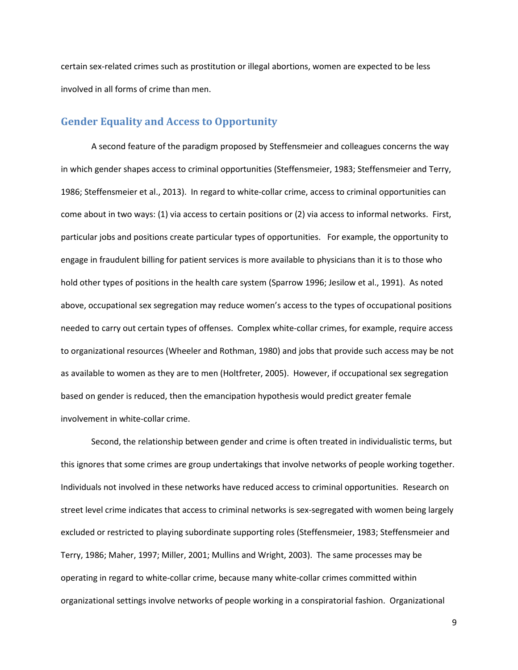certain sex-related crimes such as prostitution or illegal abortions, women are expected to be less involved in all forms of crime than men.

#### **Gender Equality and Access to Opportunity**

A second feature of the paradigm proposed by Steffensmeier and colleagues concerns the way in which gender shapes access to criminal opportunities (Steffensmeier, 1983; Steffensmeier and Terry, 1986; Steffensmeier et al., 2013). In regard to white-collar crime, access to criminal opportunities can come about in two ways: (1) via access to certain positions or (2) via access to informal networks. First, particular jobs and positions create particular types of opportunities. For example, the opportunity to engage in fraudulent billing for patient services is more available to physicians than it is to those who hold other types of positions in the health care system (Sparrow 1996; Jesilow et al., 1991). As noted above, occupational sex segregation may reduce women's access to the types of occupational positions needed to carry out certain types of offenses. Complex white-collar crimes, for example, require access to organizational resources (Wheeler and Rothman, 1980) and jobs that provide such access may be not as available to women as they are to men (Holtfreter, 2005). However, if occupational sex segregation based on gender is reduced, then the emancipation hypothesis would predict greater female involvement in white-collar crime.

Second, the relationship between gender and crime is often treated in individualistic terms, but this ignores that some crimes are group undertakings that involve networks of people working together. Individuals not involved in these networks have reduced access to criminal opportunities. Research on street level crime indicates that access to criminal networks is sex-segregated with women being largely excluded or restricted to playing subordinate supporting roles (Steffensmeier, 1983; Steffensmeier and Terry, 1986; Maher, 1997; Miller, 2001; Mullins and Wright, 2003). The same processes may be operating in regard to white-collar crime, because many white-collar crimes committed within organizational settings involve networks of people working in a conspiratorial fashion. Organizational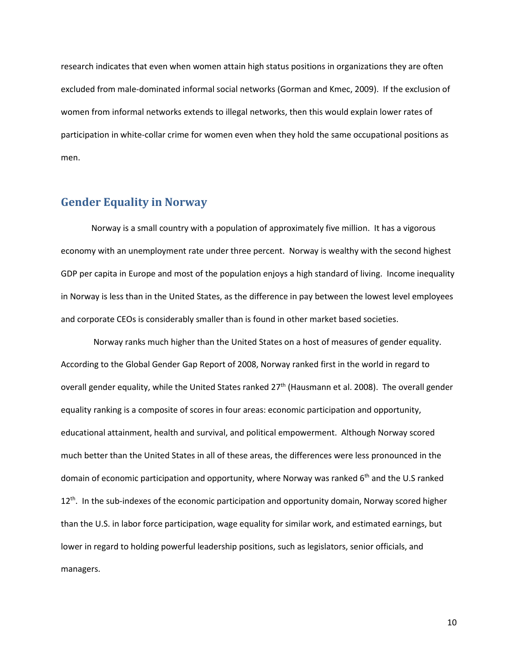research indicates that even when women attain high status positions in organizations they are often excluded from male-dominated informal social networks (Gorman and Kmec, 2009). If the exclusion of women from informal networks extends to illegal networks, then this would explain lower rates of participation in white-collar crime for women even when they hold the same occupational positions as men.

### **Gender Equality in Norway**

Norway is a small country with a population of approximately five million. It has a vigorous economy with an unemployment rate under three percent. Norway is wealthy with the second highest GDP per capita in Europe and most of the population enjoys a high standard of living. Income inequality in Norway is less than in the United States, as the difference in pay between the lowest level employees and corporate CEOs is considerably smaller than is found in other market based societies.

Norway ranks much higher than the United States on a host of measures of gender equality. According to the Global Gender Gap Report of 2008, Norway ranked first in the world in regard to overall gender equality, while the United States ranked 27<sup>th</sup> (Hausmann et al. 2008). The overall gender equality ranking is a composite of scores in four areas: economic participation and opportunity, educational attainment, health and survival, and political empowerment. Although Norway scored much better than the United States in all of these areas, the differences were less pronounced in the domain of economic participation and opportunity, where Norway was ranked  $6<sup>th</sup>$  and the U.S ranked  $12<sup>th</sup>$ . In the sub-indexes of the economic participation and opportunity domain, Norway scored higher than the U.S. in labor force participation, wage equality for similar work, and estimated earnings, but lower in regard to holding powerful leadership positions, such as legislators, senior officials, and managers.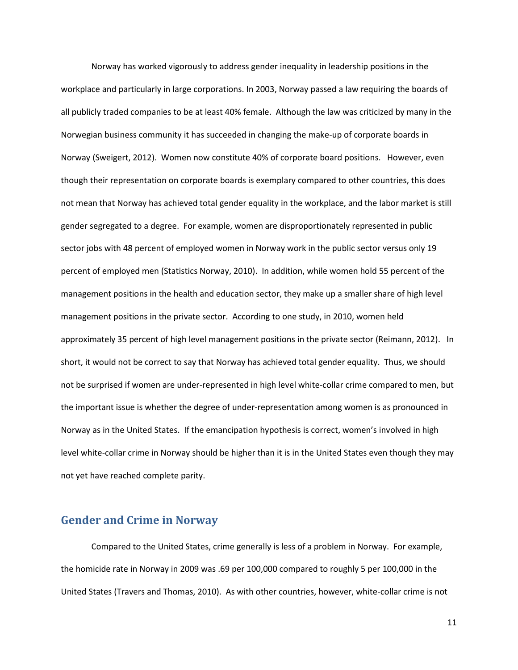Norway has worked vigorously to address gender inequality in leadership positions in the workplace and particularly in large corporations. In 2003, Norway passed a law requiring the boards of all publicly traded companies to be at least 40% female. Although the law was criticized by many in the Norwegian business community it has succeeded in changing the make-up of corporate boards in Norway (Sweigert, 2012). Women now constitute 40% of corporate board positions. However, even though their representation on corporate boards is exemplary compared to other countries, this does not mean that Norway has achieved total gender equality in the workplace, and the labor market is still gender segregated to a degree. For example, women are disproportionately represented in public sector jobs with 48 percent of employed women in Norway work in the public sector versus only 19 percent of employed men (Statistics Norway, 2010). In addition, while women hold 55 percent of the management positions in the health and education sector, they make up a smaller share of high level management positions in the private sector. According to one study, in 2010, women held approximately 35 percent of high level management positions in the private sector (Reimann, 2012). In short, it would not be correct to say that Norway has achieved total gender equality. Thus, we should not be surprised if women are under-represented in high level white-collar crime compared to men, but the important issue is whether the degree of under-representation among women is as pronounced in Norway as in the United States. If the emancipation hypothesis is correct, women's involved in high level white-collar crime in Norway should be higher than it is in the United States even though they may not yet have reached complete parity.

#### **Gender and Crime in Norway**

Compared to the United States, crime generally is less of a problem in Norway. For example, the homicide rate in Norway in 2009 was .69 per 100,000 compared to roughly 5 per 100,000 in the United States (Travers and Thomas, 2010). As with other countries, however, white-collar crime is not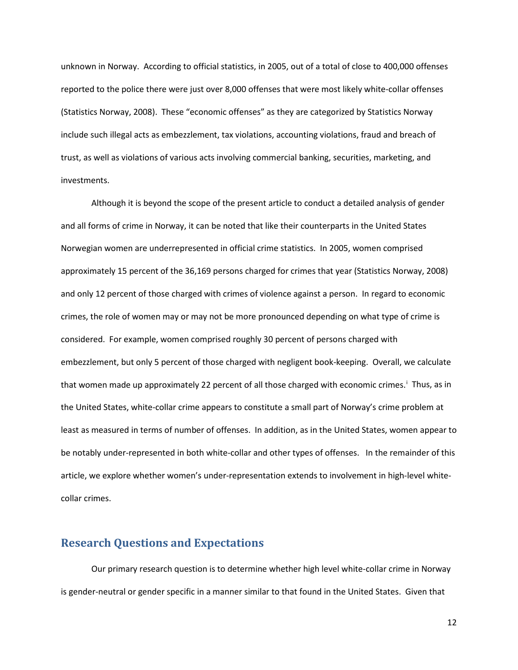unknown in Norway. According to official statistics, in 2005, out of a total of close to 400,000 offenses reported to the police there were just over 8,000 offenses that were most likely white-collar offenses (Statistics Norway, 2008). These "economic offenses" as they are categorized by Statistics Norway include such illegal acts as embezzlement, tax violations, accounting violations, fraud and breach of trust, as well as violations of various acts involving commercial banking, securities, marketing, and investments.

Although it is beyond the scope of the present article to conduct a detailed analysis of gender and all forms of crime in Norway, it can be noted that like their counterparts in the United States Norwegian women are underrepresented in official crime statistics. In 2005, women comprised approximately 15 percent of the 36,169 persons charged for crimes that year (Statistics Norway, 2008) and only 12 percent of those charged with crimes of violence against a person. In regard to economic crimes, the role of women may or may not be more pronounced depending on what type of crime is considered. For example, women comprised roughly 30 percent of persons charged with embezzlement, but only 5 percent of those charged with negligent book-keeping. Overall, we calculate that women made up approx[i](#page-3-0)mately 22 percent of all those charged with economic crimes.<sup>i</sup> Thus, as in the United States, white-collar crime appears to constitute a small part of Norway's crime problem at least as measured in terms of number of offenses. In addition, as in the United States, women appear to be notably under-represented in both white-collar and other types of offenses. In the remainder of this article, we explore whether women's under-representation extends to involvement in high-level whitecollar crimes.

### **Research Questions and Expectations**

Our primary research question is to determine whether high level white-collar crime in Norway is gender-neutral or gender specific in a manner similar to that found in the United States. Given that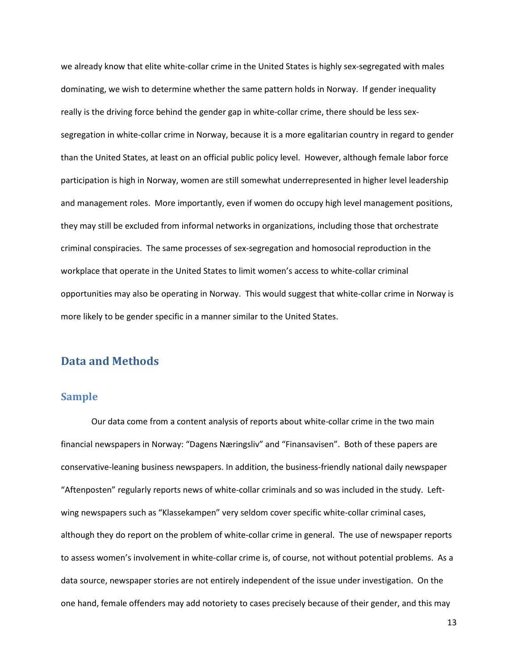we already know that elite white-collar crime in the United States is highly sex-segregated with males dominating, we wish to determine whether the same pattern holds in Norway. If gender inequality really is the driving force behind the gender gap in white-collar crime, there should be less sexsegregation in white-collar crime in Norway, because it is a more egalitarian country in regard to gender than the United States, at least on an official public policy level. However, although female labor force participation is high in Norway, women are still somewhat underrepresented in higher level leadership and management roles. More importantly, even if women do occupy high level management positions, they may still be excluded from informal networks in organizations, including those that orchestrate criminal conspiracies. The same processes of sex-segregation and homosocial reproduction in the workplace that operate in the United States to limit women's access to white-collar criminal opportunities may also be operating in Norway. This would suggest that white-collar crime in Norway is more likely to be gender specific in a manner similar to the United States.

### **Data and Methods**

#### **Sample**

Our data come from a content analysis of reports about white-collar crime in the two main financial newspapers in Norway: "Dagens Næringsliv" and "Finansavisen". Both of these papers are conservative-leaning business newspapers. In addition, the business-friendly national daily newspaper "Aftenposten" regularly reports news of white-collar criminals and so was included in the study. Leftwing newspapers such as "Klassekampen" very seldom cover specific white-collar criminal cases, although they do report on the problem of white-collar crime in general. The use of newspaper reports to assess women's involvement in white-collar crime is, of course, not without potential problems. As a data source, newspaper stories are not entirely independent of the issue under investigation. On the one hand, female offenders may add notoriety to cases precisely because of their gender, and this may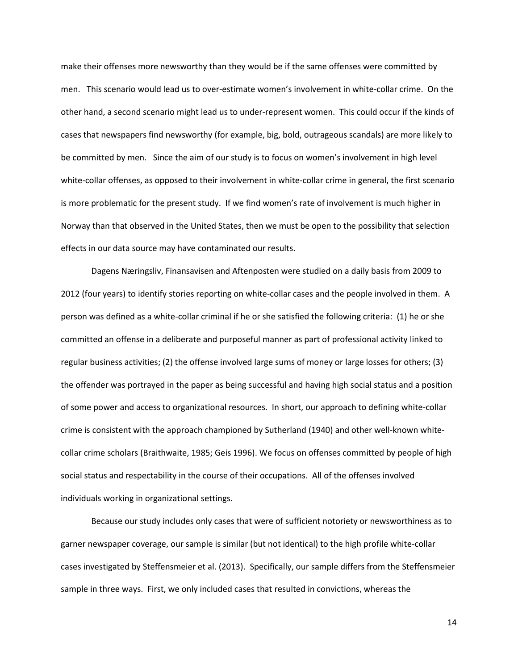make their offenses more newsworthy than they would be if the same offenses were committed by men. This scenario would lead us to over-estimate women's involvement in white-collar crime. On the other hand, a second scenario might lead us to under-represent women. This could occur if the kinds of cases that newspapers find newsworthy (for example, big, bold, outrageous scandals) are more likely to be committed by men. Since the aim of our study is to focus on women's involvement in high level white-collar offenses, as opposed to their involvement in white-collar crime in general, the first scenario is more problematic for the present study. If we find women's rate of involvement is much higher in Norway than that observed in the United States, then we must be open to the possibility that selection effects in our data source may have contaminated our results.

Dagens Næringsliv, Finansavisen and Aftenposten were studied on a daily basis from 2009 to 2012 (four years) to identify stories reporting on white-collar cases and the people involved in them. A person was defined as a white-collar criminal if he or she satisfied the following criteria: (1) he or she committed an offense in a deliberate and purposeful manner as part of professional activity linked to regular business activities; (2) the offense involved large sums of money or large losses for others; (3) the offender was portrayed in the paper as being successful and having high social status and a position of some power and access to organizational resources. In short, our approach to defining white-collar crime is consistent with the approach championed by Sutherland (1940) and other well-known whitecollar crime scholars (Braithwaite, 1985; Geis 1996). We focus on offenses committed by people of high social status and respectability in the course of their occupations. All of the offenses involved individuals working in organizational settings.

Because our study includes only cases that were of sufficient notoriety or newsworthiness as to garner newspaper coverage, our sample is similar (but not identical) to the high profile white-collar cases investigated by Steffensmeier et al. (2013). Specifically, our sample differs from the Steffensmeier sample in three ways. First, we only included cases that resulted in convictions, whereas the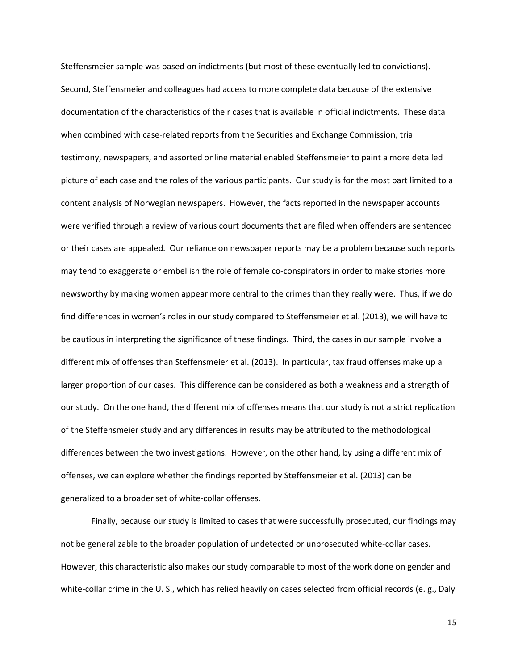Steffensmeier sample was based on indictments (but most of these eventually led to convictions). Second, Steffensmeier and colleagues had access to more complete data because of the extensive documentation of the characteristics of their cases that is available in official indictments. These data when combined with case-related reports from the Securities and Exchange Commission, trial testimony, newspapers, and assorted online material enabled Steffensmeier to paint a more detailed picture of each case and the roles of the various participants. Our study is for the most part limited to a content analysis of Norwegian newspapers. However, the facts reported in the newspaper accounts were verified through a review of various court documents that are filed when offenders are sentenced or their cases are appealed. Our reliance on newspaper reports may be a problem because such reports may tend to exaggerate or embellish the role of female co-conspirators in order to make stories more newsworthy by making women appear more central to the crimes than they really were. Thus, if we do find differences in women's roles in our study compared to Steffensmeier et al. (2013), we will have to be cautious in interpreting the significance of these findings. Third, the cases in our sample involve a different mix of offenses than Steffensmeier et al. (2013). In particular, tax fraud offenses make up a larger proportion of our cases. This difference can be considered as both a weakness and a strength of our study. On the one hand, the different mix of offenses means that our study is not a strict replication of the Steffensmeier study and any differences in results may be attributed to the methodological differences between the two investigations. However, on the other hand, by using a different mix of offenses, we can explore whether the findings reported by Steffensmeier et al. (2013) can be generalized to a broader set of white-collar offenses.

Finally, because our study is limited to cases that were successfully prosecuted, our findings may not be generalizable to the broader population of undetected or unprosecuted white-collar cases. However, this characteristic also makes our study comparable to most of the work done on gender and white-collar crime in the U. S., which has relied heavily on cases selected from official records (e. g., Daly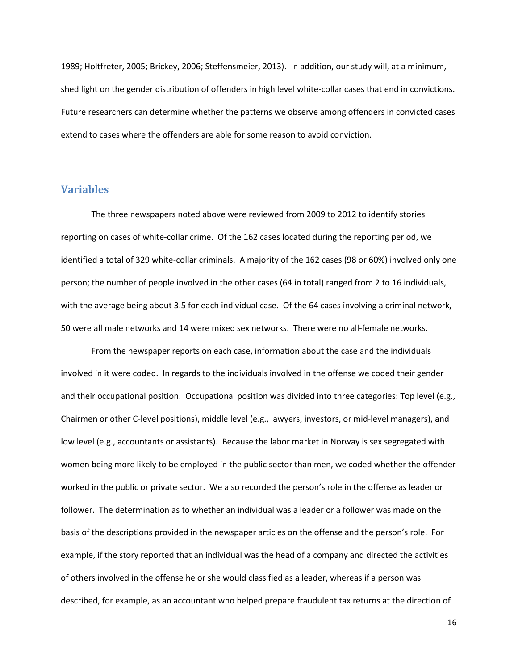1989; Holtfreter, 2005; Brickey, 2006; Steffensmeier, 2013). In addition, our study will, at a minimum, shed light on the gender distribution of offenders in high level white-collar cases that end in convictions. Future researchers can determine whether the patterns we observe among offenders in convicted cases extend to cases where the offenders are able for some reason to avoid conviction.

#### **Variables**

The three newspapers noted above were reviewed from 2009 to 2012 to identify stories reporting on cases of white-collar crime. Of the 162 cases located during the reporting period, we identified a total of 329 white-collar criminals. A majority of the 162 cases (98 or 60%) involved only one person; the number of people involved in the other cases (64 in total) ranged from 2 to 16 individuals, with the average being about 3.5 for each individual case. Of the 64 cases involving a criminal network, 50 were all male networks and 14 were mixed sex networks. There were no all-female networks.

From the newspaper reports on each case, information about the case and the individuals involved in it were coded. In regards to the individuals involved in the offense we coded their gender and their occupational position. Occupational position was divided into three categories: Top level (e.g., Chairmen or other C-level positions), middle level (e.g., lawyers, investors, or mid-level managers), and low level (e.g., accountants or assistants). Because the labor market in Norway is sex segregated with women being more likely to be employed in the public sector than men, we coded whether the offender worked in the public or private sector. We also recorded the person's role in the offense as leader or follower. The determination as to whether an individual was a leader or a follower was made on the basis of the descriptions provided in the newspaper articles on the offense and the person's role. For example, if the story reported that an individual was the head of a company and directed the activities of others involved in the offense he or she would classified as a leader, whereas if a person was described, for example, as an accountant who helped prepare fraudulent tax returns at the direction of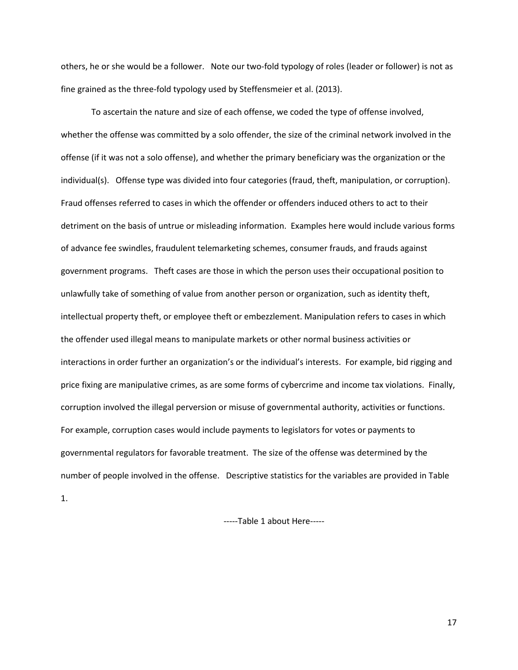others, he or she would be a follower. Note our two-fold typology of roles (leader or follower) is not as fine grained as the three-fold typology used by Steffensmeier et al. (2013).

To ascertain the nature and size of each offense, we coded the type of offense involved, whether the offense was committed by a solo offender, the size of the criminal network involved in the offense (if it was not a solo offense), and whether the primary beneficiary was the organization or the individual(s). Offense type was divided into four categories (fraud, theft, manipulation, or corruption). Fraud offenses referred to cases in which the offender or offenders induced others to act to their detriment on the basis of untrue or misleading information. Examples here would include various forms of advance fee swindles, fraudulent telemarketing schemes, consumer frauds, and frauds against government programs. Theft cases are those in which the person uses their occupational position to unlawfully take of something of value from another person or organization, such as identity theft, intellectual property theft, or employee theft or embezzlement. Manipulation refers to cases in which the offender used illegal means to manipulate markets or other normal business activities or interactions in order further an organization's or the individual's interests. For example, bid rigging and price fixing are manipulative crimes, as are some forms of cybercrime and income tax violations. Finally, corruption involved the illegal perversion or misuse of governmental authority, activities or functions. For example, corruption cases would include payments to legislators for votes or payments to governmental regulators for favorable treatment. The size of the offense was determined by the number of people involved in the offense. Descriptive statistics for the variables are provided in Table 1.

-----Table 1 about Here-----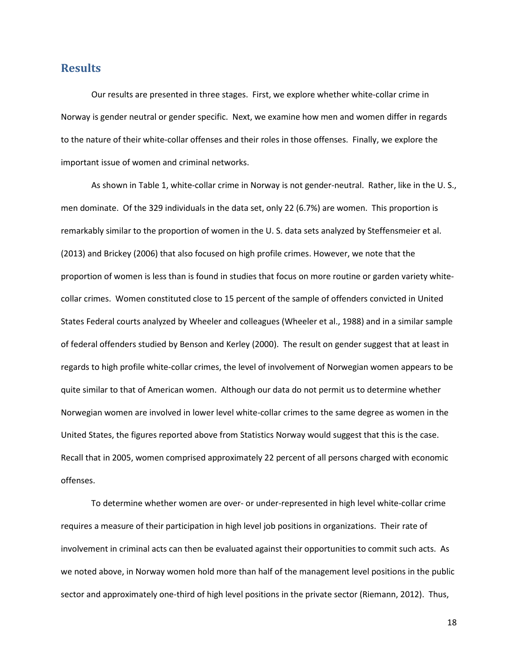#### **Results**

Our results are presented in three stages. First, we explore whether white-collar crime in Norway is gender neutral or gender specific. Next, we examine how men and women differ in regards to the nature of their white-collar offenses and their roles in those offenses. Finally, we explore the important issue of women and criminal networks.

As shown in Table 1, white-collar crime in Norway is not gender-neutral. Rather, like in the U. S., men dominate. Of the 329 individuals in the data set, only 22 (6.7%) are women. This proportion is remarkably similar to the proportion of women in the U. S. data sets analyzed by Steffensmeier et al. (2013) and Brickey (2006) that also focused on high profile crimes. However, we note that the proportion of women is less than is found in studies that focus on more routine or garden variety whitecollar crimes. Women constituted close to 15 percent of the sample of offenders convicted in United States Federal courts analyzed by Wheeler and colleagues (Wheeler et al., 1988) and in a similar sample of federal offenders studied by Benson and Kerley (2000). The result on gender suggest that at least in regards to high profile white-collar crimes, the level of involvement of Norwegian women appears to be quite similar to that of American women. Although our data do not permit us to determine whether Norwegian women are involved in lower level white-collar crimes to the same degree as women in the United States, the figures reported above from Statistics Norway would suggest that this is the case. Recall that in 2005, women comprised approximately 22 percent of all persons charged with economic offenses.

To determine whether women are over- or under-represented in high level white-collar crime requires a measure of their participation in high level job positions in organizations. Their rate of involvement in criminal acts can then be evaluated against their opportunities to commit such acts. As we noted above, in Norway women hold more than half of the management level positions in the public sector and approximately one-third of high level positions in the private sector (Riemann, 2012). Thus,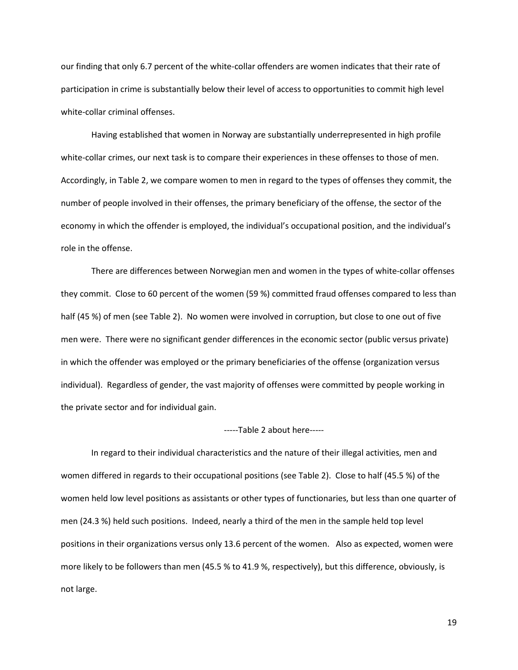our finding that only 6.7 percent of the white-collar offenders are women indicates that their rate of participation in crime is substantially below their level of access to opportunities to commit high level white-collar criminal offenses.

Having established that women in Norway are substantially underrepresented in high profile white-collar crimes, our next task is to compare their experiences in these offenses to those of men. Accordingly, in Table 2, we compare women to men in regard to the types of offenses they commit, the number of people involved in their offenses, the primary beneficiary of the offense, the sector of the economy in which the offender is employed, the individual's occupational position, and the individual's role in the offense.

There are differences between Norwegian men and women in the types of white-collar offenses they commit. Close to 60 percent of the women (59 %) committed fraud offenses compared to less than half (45 %) of men (see Table 2). No women were involved in corruption, but close to one out of five men were. There were no significant gender differences in the economic sector (public versus private) in which the offender was employed or the primary beneficiaries of the offense (organization versus individual). Regardless of gender, the vast majority of offenses were committed by people working in the private sector and for individual gain.

#### -----Table 2 about here-----

In regard to their individual characteristics and the nature of their illegal activities, men and women differed in regards to their occupational positions (see Table 2). Close to half (45.5 %) of the women held low level positions as assistants or other types of functionaries, but less than one quarter of men (24.3 %) held such positions. Indeed, nearly a third of the men in the sample held top level positions in their organizations versus only 13.6 percent of the women. Also as expected, women were more likely to be followers than men (45.5 % to 41.9 %, respectively), but this difference, obviously, is not large.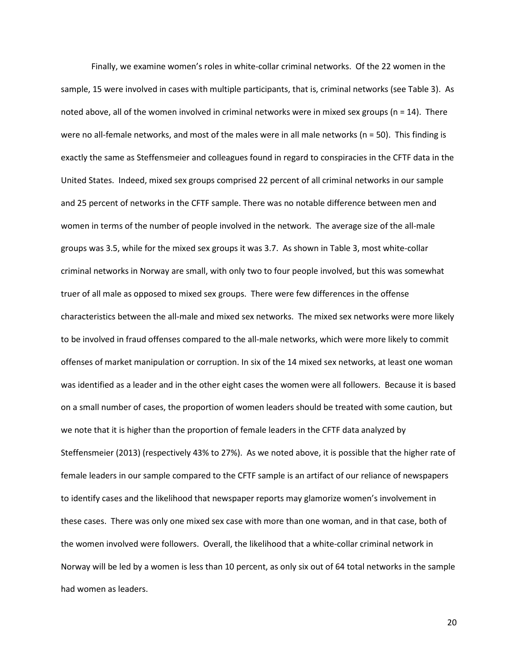Finally, we examine women's roles in white-collar criminal networks. Of the 22 women in the sample, 15 were involved in cases with multiple participants, that is, criminal networks (see Table 3). As noted above, all of the women involved in criminal networks were in mixed sex groups (n = 14). There were no all-female networks, and most of the males were in all male networks ( $n = 50$ ). This finding is exactly the same as Steffensmeier and colleagues found in regard to conspiracies in the CFTF data in the United States. Indeed, mixed sex groups comprised 22 percent of all criminal networks in our sample and 25 percent of networks in the CFTF sample. There was no notable difference between men and women in terms of the number of people involved in the network. The average size of the all-male groups was 3.5, while for the mixed sex groups it was 3.7. As shown in Table 3, most white-collar criminal networks in Norway are small, with only two to four people involved, but this was somewhat truer of all male as opposed to mixed sex groups. There were few differences in the offense characteristics between the all-male and mixed sex networks. The mixed sex networks were more likely to be involved in fraud offenses compared to the all-male networks, which were more likely to commit offenses of market manipulation or corruption. In six of the 14 mixed sex networks, at least one woman was identified as a leader and in the other eight cases the women were all followers. Because it is based on a small number of cases, the proportion of women leaders should be treated with some caution, but we note that it is higher than the proportion of female leaders in the CFTF data analyzed by Steffensmeier (2013) (respectively 43% to 27%). As we noted above, it is possible that the higher rate of female leaders in our sample compared to the CFTF sample is an artifact of our reliance of newspapers to identify cases and the likelihood that newspaper reports may glamorize women's involvement in these cases. There was only one mixed sex case with more than one woman, and in that case, both of the women involved were followers. Overall, the likelihood that a white-collar criminal network in Norway will be led by a women is less than 10 percent, as only six out of 64 total networks in the sample had women as leaders.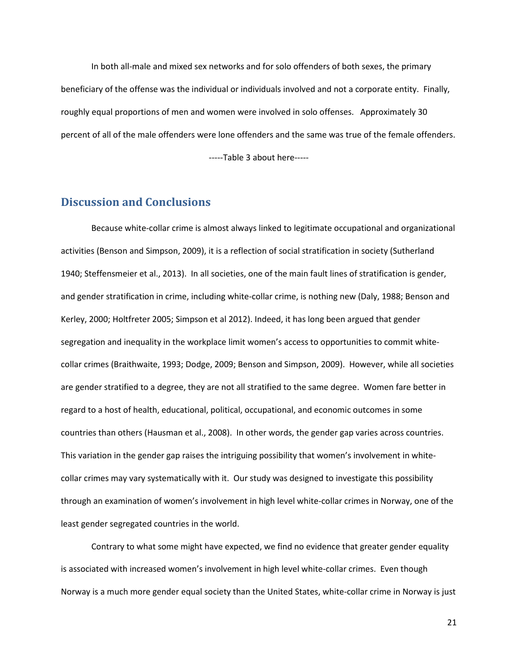In both all-male and mixed sex networks and for solo offenders of both sexes, the primary beneficiary of the offense was the individual or individuals involved and not a corporate entity. Finally, roughly equal proportions of men and women were involved in solo offenses. Approximately 30 percent of all of the male offenders were lone offenders and the same was true of the female offenders. -----Table 3 about here-----

#### **Discussion and Conclusions**

Because white-collar crime is almost always linked to legitimate occupational and organizational activities (Benson and Simpson, 2009), it is a reflection of social stratification in society (Sutherland 1940; Steffensmeier et al., 2013). In all societies, one of the main fault lines of stratification is gender, and gender stratification in crime, including white-collar crime, is nothing new (Daly, 1988; Benson and Kerley, 2000; Holtfreter 2005; Simpson et al 2012). Indeed, it has long been argued that gender segregation and inequality in the workplace limit women's access to opportunities to commit whitecollar crimes (Braithwaite, 1993; Dodge, 2009; Benson and Simpson, 2009). However, while all societies are gender stratified to a degree, they are not all stratified to the same degree. Women fare better in regard to a host of health, educational, political, occupational, and economic outcomes in some countries than others (Hausman et al., 2008). In other words, the gender gap varies across countries. This variation in the gender gap raises the intriguing possibility that women's involvement in whitecollar crimes may vary systematically with it. Our study was designed to investigate this possibility through an examination of women's involvement in high level white-collar crimes in Norway, one of the least gender segregated countries in the world.

Contrary to what some might have expected, we find no evidence that greater gender equality is associated with increased women's involvement in high level white-collar crimes. Even though Norway is a much more gender equal society than the United States, white-collar crime in Norway is just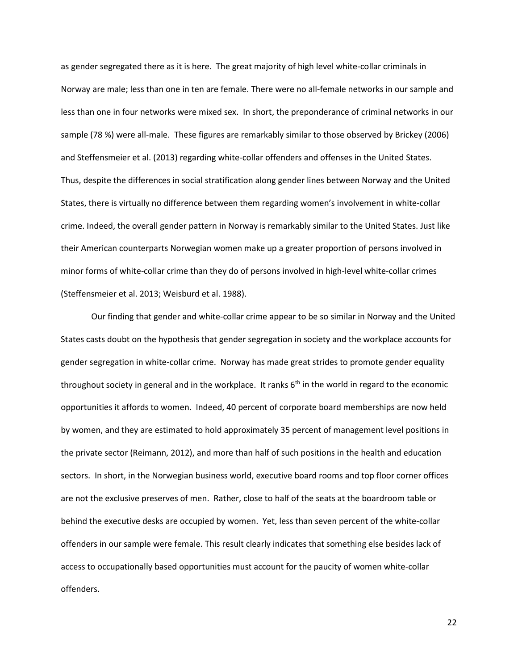as gender segregated there as it is here. The great majority of high level white-collar criminals in Norway are male; less than one in ten are female. There were no all-female networks in our sample and less than one in four networks were mixed sex. In short, the preponderance of criminal networks in our sample (78 %) were all-male. These figures are remarkably similar to those observed by Brickey (2006) and Steffensmeier et al. (2013) regarding white-collar offenders and offenses in the United States. Thus, despite the differences in social stratification along gender lines between Norway and the United States, there is virtually no difference between them regarding women's involvement in white-collar crime. Indeed, the overall gender pattern in Norway is remarkably similar to the United States. Just like their American counterparts Norwegian women make up a greater proportion of persons involved in minor forms of white-collar crime than they do of persons involved in high-level white-collar crimes (Steffensmeier et al. 2013; Weisburd et al. 1988).

Our finding that gender and white-collar crime appear to be so similar in Norway and the United States casts doubt on the hypothesis that gender segregation in society and the workplace accounts for gender segregation in white-collar crime. Norway has made great strides to promote gender equality throughout society in general and in the workplace. It ranks  $6<sup>th</sup>$  in the world in regard to the economic opportunities it affords to women. Indeed, 40 percent of corporate board memberships are now held by women, and they are estimated to hold approximately 35 percent of management level positions in the private sector (Reimann, 2012), and more than half of such positions in the health and education sectors. In short, in the Norwegian business world, executive board rooms and top floor corner offices are not the exclusive preserves of men. Rather, close to half of the seats at the boardroom table or behind the executive desks are occupied by women. Yet, less than seven percent of the white-collar offenders in our sample were female. This result clearly indicates that something else besides lack of access to occupationally based opportunities must account for the paucity of women white-collar offenders.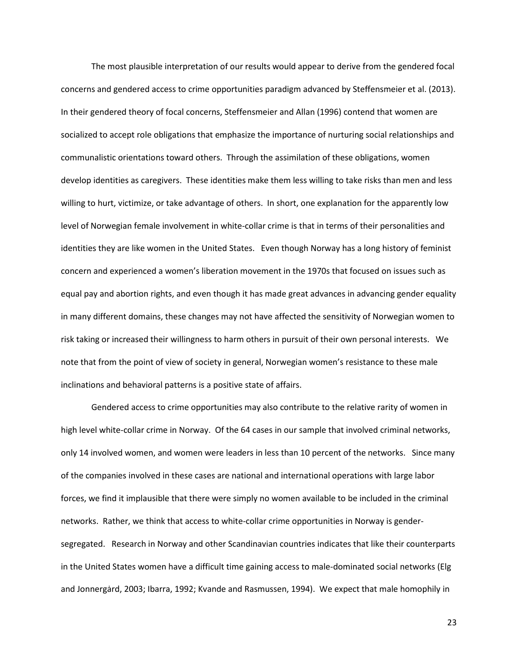The most plausible interpretation of our results would appear to derive from the gendered focal concerns and gendered access to crime opportunities paradigm advanced by Steffensmeier et al. (2013). In their gendered theory of focal concerns, Steffensmeier and Allan (1996) contend that women are socialized to accept role obligations that emphasize the importance of nurturing social relationships and communalistic orientations toward others. Through the assimilation of these obligations, women develop identities as caregivers. These identities make them less willing to take risks than men and less willing to hurt, victimize, or take advantage of others. In short, one explanation for the apparently low level of Norwegian female involvement in white-collar crime is that in terms of their personalities and identities they are like women in the United States. Even though Norway has a long history of feminist concern and experienced a women's liberation movement in the 1970s that focused on issues such as equal pay and abortion rights, and even though it has made great advances in advancing gender equality in many different domains, these changes may not have affected the sensitivity of Norwegian women to risk taking or increased their willingness to harm others in pursuit of their own personal interests. We note that from the point of view of society in general, Norwegian women's resistance to these male inclinations and behavioral patterns is a positive state of affairs.

Gendered access to crime opportunities may also contribute to the relative rarity of women in high level white-collar crime in Norway. Of the 64 cases in our sample that involved criminal networks, only 14 involved women, and women were leaders in less than 10 percent of the networks. Since many of the companies involved in these cases are national and international operations with large labor forces, we find it implausible that there were simply no women available to be included in the criminal networks. Rather, we think that access to white-collar crime opportunities in Norway is gendersegregated. Research in Norway and other Scandinavian countries indicates that like their counterparts in the United States women have a difficult time gaining access to male-dominated social networks (Elg and Jonnergård, 2003; Ibarra, 1992; Kvande and Rasmussen, 1994). We expect that male homophily in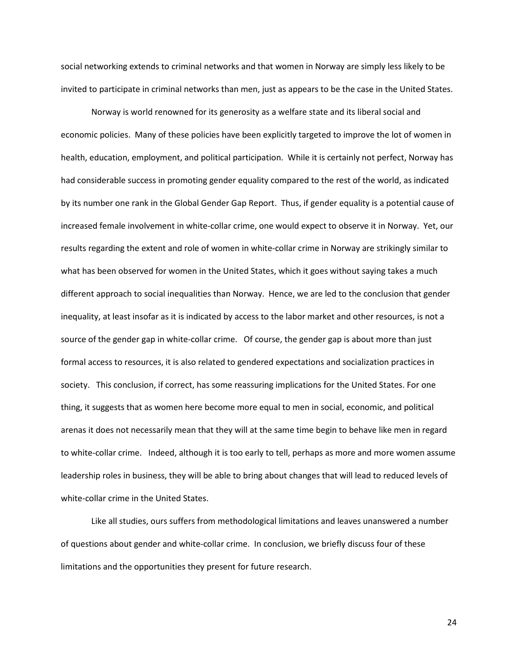social networking extends to criminal networks and that women in Norway are simply less likely to be invited to participate in criminal networks than men, just as appears to be the case in the United States.

Norway is world renowned for its generosity as a welfare state and its liberal social and economic policies. Many of these policies have been explicitly targeted to improve the lot of women in health, education, employment, and political participation. While it is certainly not perfect, Norway has had considerable success in promoting gender equality compared to the rest of the world, as indicated by its number one rank in the Global Gender Gap Report. Thus, if gender equality is a potential cause of increased female involvement in white-collar crime, one would expect to observe it in Norway. Yet, our results regarding the extent and role of women in white-collar crime in Norway are strikingly similar to what has been observed for women in the United States, which it goes without saying takes a much different approach to social inequalities than Norway. Hence, we are led to the conclusion that gender inequality, at least insofar as it is indicated by access to the labor market and other resources, is not a source of the gender gap in white-collar crime. Of course, the gender gap is about more than just formal access to resources, it is also related to gendered expectations and socialization practices in society. This conclusion, if correct, has some reassuring implications for the United States. For one thing, it suggests that as women here become more equal to men in social, economic, and political arenas it does not necessarily mean that they will at the same time begin to behave like men in regard to white-collar crime. Indeed, although it is too early to tell, perhaps as more and more women assume leadership roles in business, they will be able to bring about changes that will lead to reduced levels of white-collar crime in the United States.

Like all studies, ours suffers from methodological limitations and leaves unanswered a number of questions about gender and white-collar crime. In conclusion, we briefly discuss four of these limitations and the opportunities they present for future research.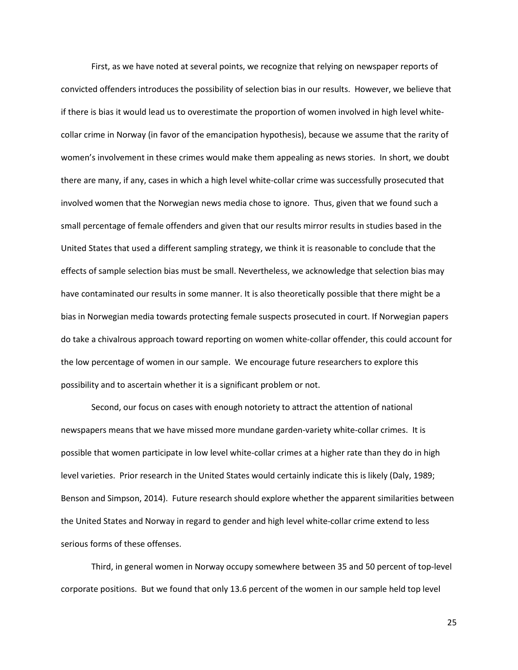First, as we have noted at several points, we recognize that relying on newspaper reports of convicted offenders introduces the possibility of selection bias in our results. However, we believe that if there is bias it would lead us to overestimate the proportion of women involved in high level whitecollar crime in Norway (in favor of the emancipation hypothesis), because we assume that the rarity of women's involvement in these crimes would make them appealing as news stories. In short, we doubt there are many, if any, cases in which a high level white-collar crime was successfully prosecuted that involved women that the Norwegian news media chose to ignore. Thus, given that we found such a small percentage of female offenders and given that our results mirror results in studies based in the United States that used a different sampling strategy, we think it is reasonable to conclude that the effects of sample selection bias must be small. Nevertheless, we acknowledge that selection bias may have contaminated our results in some manner. It is also theoretically possible that there might be a bias in Norwegian media towards protecting female suspects prosecuted in court. If Norwegian papers do take a chivalrous approach toward reporting on women white-collar offender, this could account for the low percentage of women in our sample. We encourage future researchers to explore this possibility and to ascertain whether it is a significant problem or not.

Second, our focus on cases with enough notoriety to attract the attention of national newspapers means that we have missed more mundane garden-variety white-collar crimes. It is possible that women participate in low level white-collar crimes at a higher rate than they do in high level varieties. Prior research in the United States would certainly indicate this is likely (Daly, 1989; Benson and Simpson, 2014). Future research should explore whether the apparent similarities between the United States and Norway in regard to gender and high level white-collar crime extend to less serious forms of these offenses.

Third, in general women in Norway occupy somewhere between 35 and 50 percent of top-level corporate positions. But we found that only 13.6 percent of the women in our sample held top level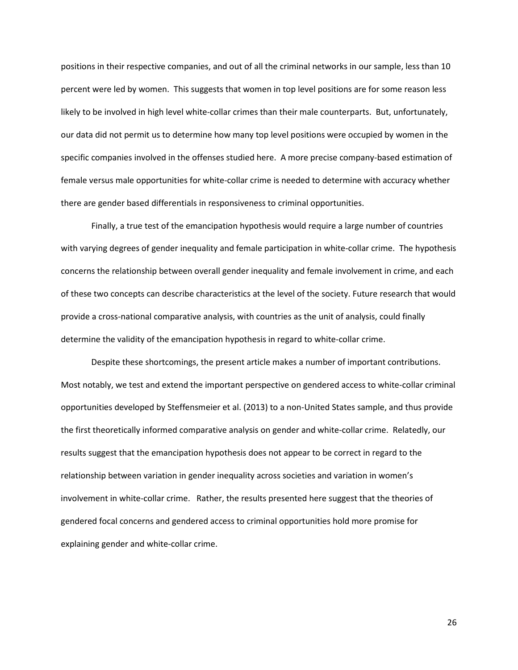positions in their respective companies, and out of all the criminal networks in our sample, less than 10 percent were led by women. This suggests that women in top level positions are for some reason less likely to be involved in high level white-collar crimes than their male counterparts. But, unfortunately, our data did not permit us to determine how many top level positions were occupied by women in the specific companies involved in the offenses studied here. A more precise company-based estimation of female versus male opportunities for white-collar crime is needed to determine with accuracy whether there are gender based differentials in responsiveness to criminal opportunities.

Finally, a true test of the emancipation hypothesis would require a large number of countries with varying degrees of gender inequality and female participation in white-collar crime. The hypothesis concerns the relationship between overall gender inequality and female involvement in crime, and each of these two concepts can describe characteristics at the level of the society. Future research that would provide a cross-national comparative analysis, with countries as the unit of analysis, could finally determine the validity of the emancipation hypothesis in regard to white-collar crime.

Despite these shortcomings, the present article makes a number of important contributions. Most notably, we test and extend the important perspective on gendered access to white-collar criminal opportunities developed by Steffensmeier et al. (2013) to a non-United States sample, and thus provide the first theoretically informed comparative analysis on gender and white-collar crime. Relatedly, our results suggest that the emancipation hypothesis does not appear to be correct in regard to the relationship between variation in gender inequality across societies and variation in women's involvement in white-collar crime. Rather, the results presented here suggest that the theories of gendered focal concerns and gendered access to criminal opportunities hold more promise for explaining gender and white-collar crime.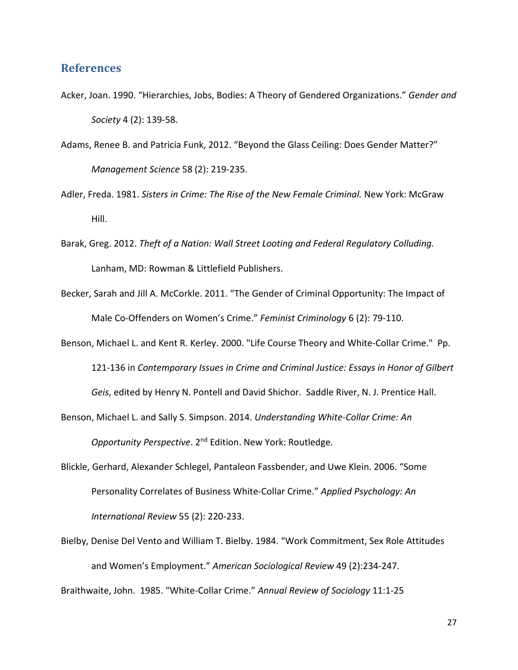#### **References**

- Acker, Joan. 1990. "Hierarchies, Jobs, Bodies: A Theory of Gendered Organizations." *Gender and Society* 4 (2): 139-58.
- Adams, Renee B. and Patricia Funk, 2012. "Beyond the Glass Ceiling: Does Gender Matter?" *Management Science* 58 (2): 219-235.
- Adler, Freda. 1981. *Sisters in Crime: The Rise of the New Female Criminal.* New York: McGraw Hill.
- Barak, Greg. 2012. *Theft of a Nation: Wall Street Looting and Federal Regulatory Colluding.*  Lanham, MD: Rowman & Littlefield Publishers.
- Becker, Sarah and Jill A. McCorkle. 2011. "The Gender of Criminal Opportunity: The Impact of Male Co-Offenders on Women's Crime." *Feminist Criminology* 6 (2): 79-110.
- Benson, Michael L. and Kent R. Kerley. 2000. "Life Course Theory and White-Collar Crime." Pp.

121-136 in *Contemporary Issues in Crime and Criminal Justice: Essays in Honor of Gilbert* 

*Geis*, edited by Henry N. Pontell and David Shichor. Saddle River, N. J. Prentice Hall.

Benson, Michael L. and Sally S. Simpson. 2014. *Understanding White-Collar Crime: An* 

*Opportunity Perspective*. 2nd Edition. New York: Routledge.

- Blickle, Gerhard, Alexander Schlegel, Pantaleon Fassbender, and Uwe Klein. 2006. "Some Personality Correlates of Business White-Collar Crime." *Applied Psychology: An International Review* 55 (2): 220-233.
- Bielby, Denise Del Vento and William T. Bielby. 1984. "Work Commitment, Sex Role Attitudes and Women's Employment." *American Sociological Review* 49 (2):234-247.

Braithwaite, John. 1985. "White-Collar Crime." *Annual Review of Sociology* 11:1-25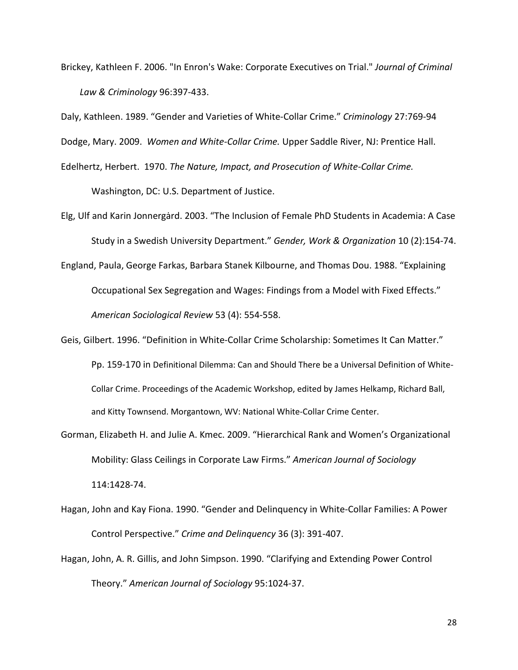Brickey, Kathleen F. 2006. "In Enron's Wake: Corporate Executives on Trial." *Journal of Criminal Law & Criminology* 96:397-433.

Daly, Kathleen. 1989. "Gender and Varieties of White-Collar Crime." *Criminology* 27:769-94 Dodge, Mary. 2009. *Women and White-Collar Crime.* Upper Saddle River, NJ: Prentice Hall. Edelhertz, Herbert. 1970. *The Nature, Impact, and Prosecution of White-Collar Crime.*

Washington, DC: U.S. Department of Justice.

Elg, Ulf and Karin Jonnergard. 2003. "The Inclusion of Female PhD Students in Academia: A Case Study in a Swedish University Department." *Gender, Work & Organization* 10 (2):154-74.

England, Paula, George Farkas, Barbara Stanek Kilbourne, and Thomas Dou. 1988. "Explaining Occupational Sex Segregation and Wages: Findings from a Model with Fixed Effects." *American Sociological Review* 53 (4): 554-558.

Geis, Gilbert. 1996. "Definition in White-Collar Crime Scholarship: Sometimes It Can Matter." Pp. 159-170 in Definitional Dilemma: Can and Should There be a Universal Definition of White-Collar Crime. Proceedings of the Academic Workshop, edited by James Helkamp, Richard Ball, and Kitty Townsend. Morgantown, WV: National White-Collar Crime Center.

- Gorman, Elizabeth H. and Julie A. Kmec. 2009. "Hierarchical Rank and Women's Organizational Mobility: Glass Ceilings in Corporate Law Firms." *American Journal of Sociology*  114:1428-74.
- Hagan, John and Kay Fiona. 1990. "Gender and Delinquency in White-Collar Families: A Power Control Perspective." *Crime and Delinquency* 36 (3): 391-407.
- Hagan, John, A. R. Gillis, and John Simpson. 1990. "Clarifying and Extending Power Control Theory." *American Journal of Sociology* 95:1024-37.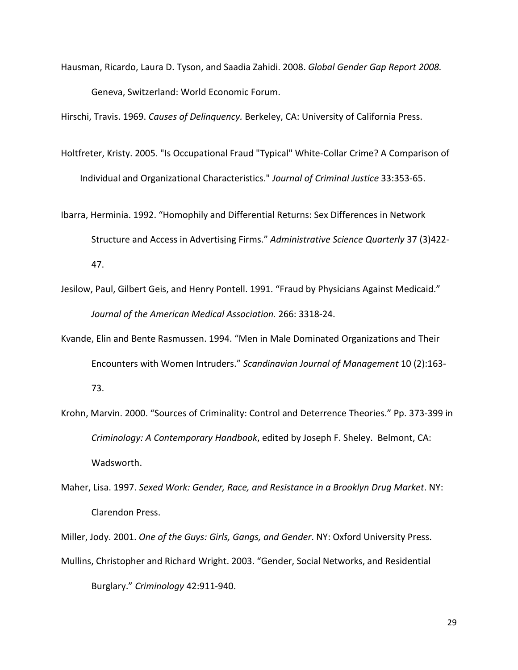Hausman, Ricardo, Laura D. Tyson, and Saadia Zahidi. 2008. *Global Gender Gap Report 2008.*  Geneva, Switzerland: World Economic Forum.

Hirschi, Travis. 1969. *Causes of Delinquency.* Berkeley, CA: University of California Press.

- Holtfreter, Kristy. 2005. "Is Occupational Fraud "Typical" White-Collar Crime? A Comparison of Individual and Organizational Characteristics." *Journal of Criminal Justice* 33:353-65.
- Ibarra, Herminia. 1992. "Homophily and Differential Returns: Sex Differences in Network Structure and Access in Advertising Firms." *Administrative Science Quarterly* 37 (3)422- 47.
- Jesilow, Paul, Gilbert Geis, and Henry Pontell. 1991. "Fraud by Physicians Against Medicaid." *Journal of the American Medical Association.* 266: 3318-24.
- Kvande, Elin and Bente Rasmussen. 1994. "Men in Male Dominated Organizations and Their Encounters with Women Intruders." *Scandinavian Journal of Management* 10 (2):163- 73.
- Krohn, Marvin. 2000. "Sources of Criminality: Control and Deterrence Theories." Pp. 373-399 in *Criminology: A Contemporary Handbook*, edited by Joseph F. Sheley. Belmont, CA: Wadsworth.
- Maher, Lisa. 1997. *Sexed Work: Gender, Race, and Resistance in a Brooklyn Drug Market*. NY: Clarendon Press.

Miller, Jody. 2001. *One of the Guys: Girls, Gangs, and Gender*. NY: Oxford University Press. Mullins, Christopher and Richard Wright. 2003. "Gender, Social Networks, and Residential Burglary." *Criminology* 42:911-940.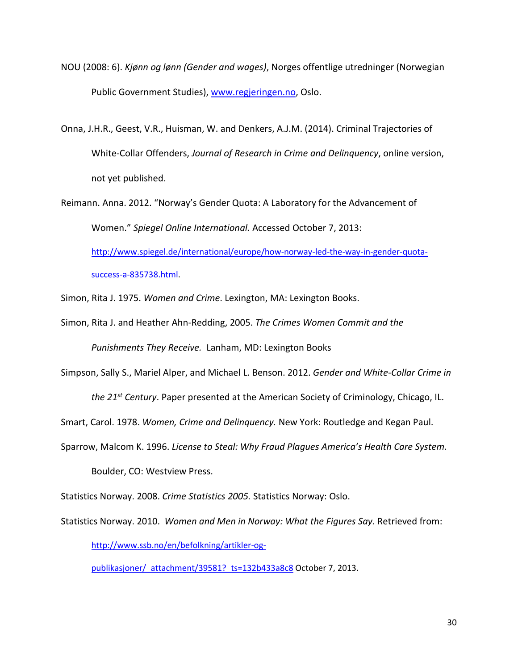- NOU (2008: 6). *Kjønn og lønn (Gender and wages)*, Norges offentlige utredninger (Norwegian Public Government Studies), [www.regjeringen.no,](http://www.regjeringen.no/) Oslo.
- Onna, J.H.R., Geest, V.R., Huisman, W. and Denkers, A.J.M. (2014). Criminal Trajectories of White-Collar Offenders, *Journal of Research in Crime and Delinquency*, online version, not yet published.

Reimann. Anna. 2012. "Norway's Gender Quota: A Laboratory for the Advancement of Women." *Spiegel Online International.* Accessed October 7, 2013: [http://www.spiegel.de/international/europe/how-norway-led-the-way-in-gender-quota](http://www.spiegel.de/international/europe/how-norway-led-the-way-in-gender-quota-success-a-835738.html)[success-a-835738.html.](http://www.spiegel.de/international/europe/how-norway-led-the-way-in-gender-quota-success-a-835738.html)

Simon, Rita J. 1975. *Women and Crime*. Lexington, MA: Lexington Books.

Simon, Rita J. and Heather Ahn-Redding, 2005. *The Crimes Women Commit and the Punishments They Receive.* Lanham, MD: Lexington Books

Simpson, Sally S., Mariel Alper, and Michael L. Benson. 2012. *Gender and White-Collar Crime in* 

*the 21st Century*. Paper presented at the American Society of Criminology, Chicago, IL.

Smart, Carol. 1978. *Women, Crime and Delinquency.* New York: Routledge and Kegan Paul.

Sparrow, Malcom K. 1996. *License to Steal: Why Fraud Plagues America's Health Care System.*  Boulder, CO: Westview Press.

Statistics Norway. 2008. *Crime Statistics 2005.* Statistics Norway: Oslo.

Statistics Norway. 2010. *Women and Men in Norway: What the Figures Say.* Retrieved from: [http://www.ssb.no/en/befolkning/artikler-og-](http://www.ssb.no/en/befolkning/artikler-og-publikasjoner/_attachment/39581?_ts=132b433a8c8)

publikasjoner/ attachment/39581? ts=132b433a8c8 October 7, 2013.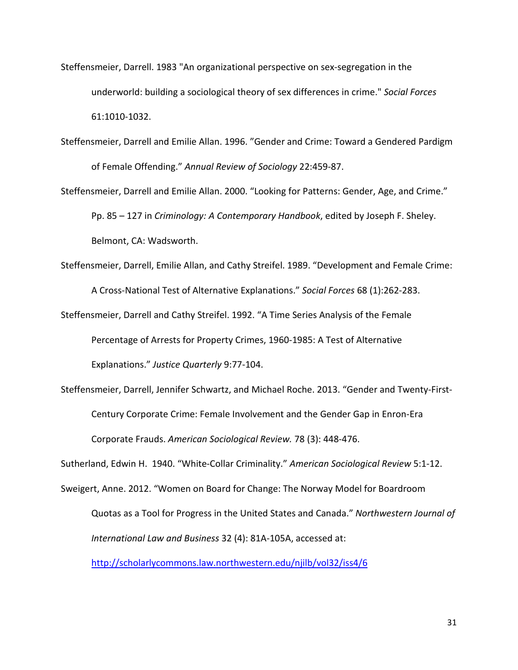- Steffensmeier, Darrell. 1983 "An organizational perspective on sex-segregation in the underworld: building a sociological theory of sex differences in crime." *Social Forces*  61:1010-1032.
- Steffensmeier, Darrell and Emilie Allan. 1996. "Gender and Crime: Toward a Gendered Pardigm of Female Offending." *Annual Review of Sociology* 22:459-87.
- Steffensmeier, Darrell and Emilie Allan. 2000. "Looking for Patterns: Gender, Age, and Crime." Pp. 85 – 127 in *Criminology: A Contemporary Handbook*, edited by Joseph F. Sheley. Belmont, CA: Wadsworth.
- Steffensmeier, Darrell, Emilie Allan, and Cathy Streifel. 1989. "Development and Female Crime: A Cross-National Test of Alternative Explanations." *Social Forces* 68 (1):262-283.
- Steffensmeier, Darrell and Cathy Streifel. 1992. "A Time Series Analysis of the Female Percentage of Arrests for Property Crimes, 1960-1985: A Test of Alternative Explanations." *Justice Quarterly* 9:77-104.
- Steffensmeier, Darrell, Jennifer Schwartz, and Michael Roche. 2013. "Gender and Twenty-First-Century Corporate Crime: Female Involvement and the Gender Gap in Enron-Era Corporate Frauds. *American Sociological Review.* 78 (3): 448-476.

Sutherland, Edwin H. 1940. "White-Collar Criminality." *American Sociological Review* 5:1-12.

Sweigert, Anne. 2012. "Women on Board for Change: The Norway Model for Boardroom

Quotas as a Tool for Progress in the United States and Canada." *Northwestern Journal of International Law and Business* 32 (4): 81A-105A, accessed at:

<http://scholarlycommons.law.northwestern.edu/njilb/vol32/iss4/6>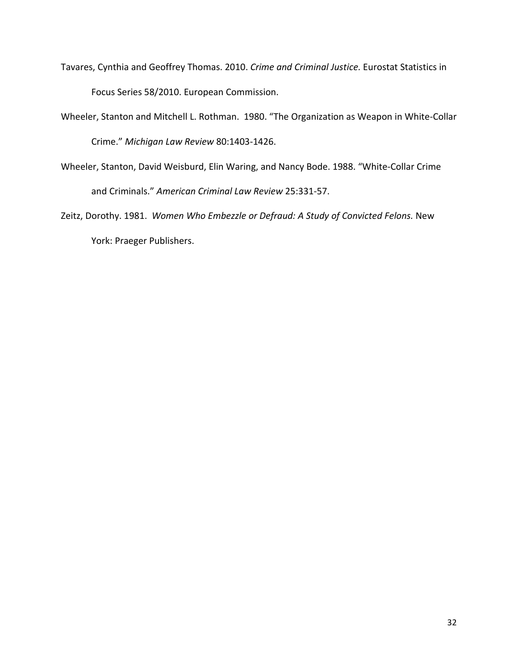- Tavares, Cynthia and Geoffrey Thomas. 2010. *Crime and Criminal Justice.* Eurostat Statistics in Focus Series 58/2010. European Commission.
- Wheeler, Stanton and Mitchell L. Rothman. 1980. "The Organization as Weapon in White-Collar Crime." *Michigan Law Review* 80:1403-1426.
- Wheeler, Stanton, David Weisburd, Elin Waring, and Nancy Bode. 1988. "White-Collar Crime and Criminals." *American Criminal Law Review* 25:331-57.
- Zeitz, Dorothy. 1981. *Women Who Embezzle or Defraud: A Study of Convicted Felons.* New York: Praeger Publishers.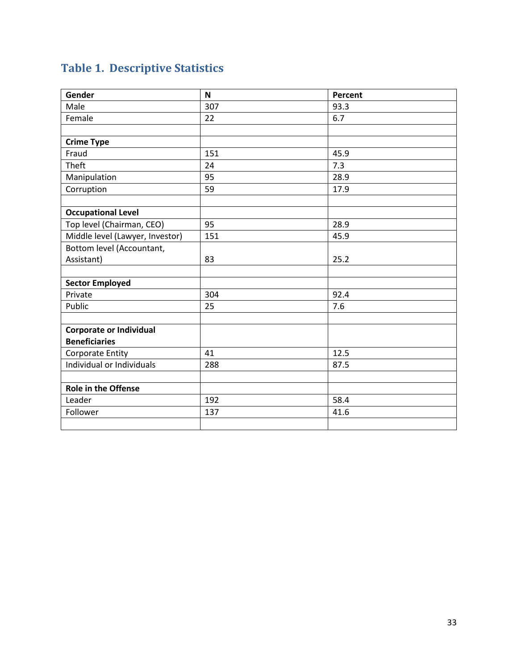## **Table 1. Descriptive Statistics**

| Gender                          | $\mathbf N$ | Percent |
|---------------------------------|-------------|---------|
| Male                            | 307         | 93.3    |
| Female                          | 22          | 6.7     |
|                                 |             |         |
| <b>Crime Type</b>               |             |         |
| Fraud                           | 151         | 45.9    |
| Theft                           | 24          | 7.3     |
| Manipulation                    | 95          | 28.9    |
| Corruption                      | 59          | 17.9    |
|                                 |             |         |
| <b>Occupational Level</b>       |             |         |
| Top level (Chairman, CEO)       | 95          | 28.9    |
| Middle level (Lawyer, Investor) | 151         | 45.9    |
| Bottom level (Accountant,       |             |         |
| Assistant)                      | 83          | 25.2    |
|                                 |             |         |
| <b>Sector Employed</b>          |             |         |
| Private                         | 304         | 92.4    |
| Public                          | 25          | 7.6     |
|                                 |             |         |
| <b>Corporate or Individual</b>  |             |         |
| <b>Beneficiaries</b>            |             |         |
| Corporate Entity                | 41          | 12.5    |
| Individual or Individuals       | 288         | 87.5    |
|                                 |             |         |
| <b>Role in the Offense</b>      |             |         |
| Leader                          | 192         | 58.4    |
| Follower                        | 137         | 41.6    |
|                                 |             |         |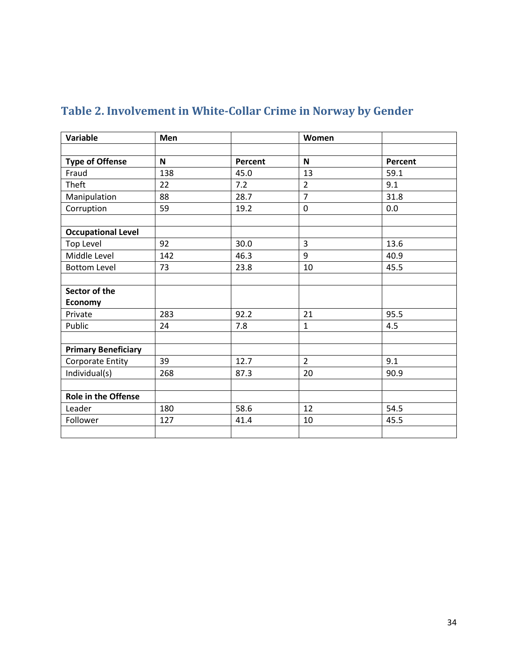| Variable                   | Men |         | Women          |         |
|----------------------------|-----|---------|----------------|---------|
|                            |     |         |                |         |
| <b>Type of Offense</b>     | N   | Percent | N              | Percent |
| Fraud                      | 138 | 45.0    | 13             | 59.1    |
| Theft                      | 22  | 7.2     | $\overline{2}$ | 9.1     |
| Manipulation               | 88  | 28.7    | $\overline{7}$ | 31.8    |
| Corruption                 | 59  | 19.2    | $\mathbf 0$    | 0.0     |
| <b>Occupational Level</b>  |     |         |                |         |
| Top Level                  | 92  | 30.0    | 3              | 13.6    |
| Middle Level               | 142 | 46.3    | 9              | 40.9    |
| <b>Bottom Level</b>        | 73  | 23.8    | 10             | 45.5    |
|                            |     |         |                |         |
| Sector of the              |     |         |                |         |
| <b>Economy</b>             |     |         |                |         |
| Private                    | 283 | 92.2    | 21             | 95.5    |
| Public                     | 24  | 7.8     | $\mathbf{1}$   | 4.5     |
|                            |     |         |                |         |
| <b>Primary Beneficiary</b> |     |         |                |         |
| Corporate Entity           | 39  | 12.7    | $\overline{2}$ | 9.1     |
| Individual(s)              | 268 | 87.3    | 20             | 90.9    |
|                            |     |         |                |         |
| <b>Role in the Offense</b> |     |         |                |         |
| Leader                     | 180 | 58.6    | 12             | 54.5    |
| Follower                   | 127 | 41.4    | 10             | 45.5    |
|                            |     |         |                |         |

## **Table 2. Involvement in White-Collar Crime in Norway by Gender**